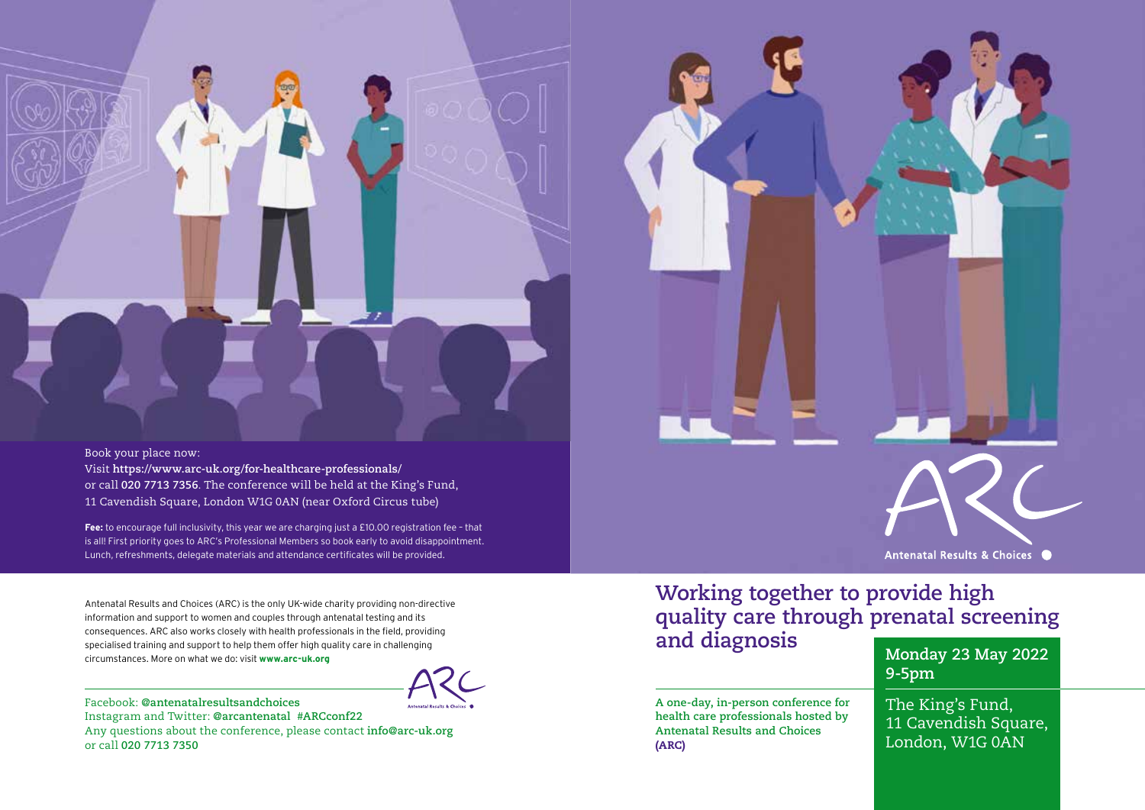Book your place now:

Visit **https://www.arc-uk.org/for-healthcare-professionals/** or call **020 7713 7356**. The conference will be held at the King's Fund, 11 Cavendish Square, London W1G 0AN (near Oxford Circus tube)

**Fee:** to encourage full inclusivity, this year we are charging just a £10.00 registration fee – that is all! First priority goes to ARC's Professional Members so book early to avoid disappointment. Lunch, refreshments, delegate materials and attendance certificates will be provided.

Antenatal Results and Choices (ARC) is the only UK-wide charity providing non-directive information and support to women and couples through antenatal testing and its consequences. ARC also works closely with health professionals in the field, providing specialised training and support to help them offer high quality care in challenging circumstances. More on what we do: visit **www.arc-uk.org**

Facebook: **@antenatalresultsandchoices** Instagram and Twitter: **@arcantenatal #ARCconf22** Any questions about the conference, please contact **info@arc-uk.org** or call **020 7713 7350**

# **Working together to provide high quality care through prenatal screening**

**A one-day, in-person conference for health care professionals hosted by Antenatal Results and Choices**  (ARC)

**and diagnosis Monday 23 May 2022 9-5pm**

Antenatal Results & Choices ●

The King's Fund, 11 Cavendish Square, London, W1G 0AN